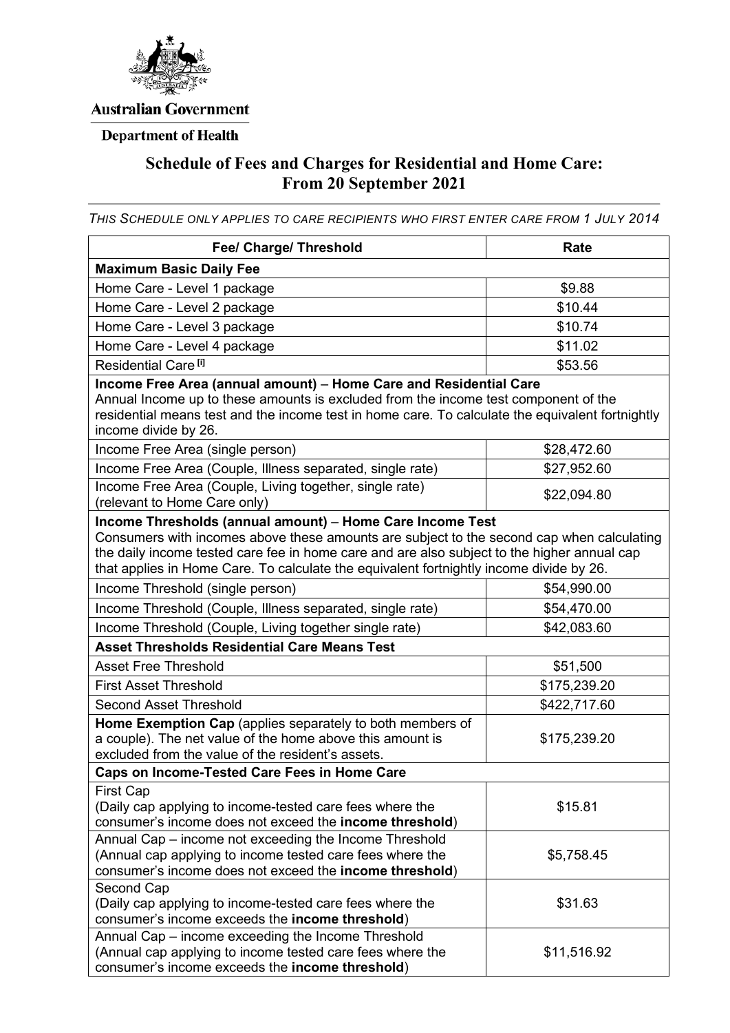

### **Australian Government**

# **Department of Health**

# **Schedule of Fees and Charges for Residential and Home Care: From 20 September 2021**

*THIS SCHEDULE ONLY APPLIES TO CARE RECIPIENTS WHO FIRST ENTER CARE FROM 1 JULY 2014*

| Fee/ Charge/ Threshold                                                                                                                                                                                                                                                                                                                           | Rate         |  |
|--------------------------------------------------------------------------------------------------------------------------------------------------------------------------------------------------------------------------------------------------------------------------------------------------------------------------------------------------|--------------|--|
| <b>Maximum Basic Daily Fee</b>                                                                                                                                                                                                                                                                                                                   |              |  |
| Home Care - Level 1 package                                                                                                                                                                                                                                                                                                                      | \$9.88       |  |
| Home Care - Level 2 package                                                                                                                                                                                                                                                                                                                      | \$10.44      |  |
| Home Care - Level 3 package                                                                                                                                                                                                                                                                                                                      | \$10.74      |  |
| Home Care - Level 4 package                                                                                                                                                                                                                                                                                                                      | \$11.02      |  |
| Residential Care <sup>[i]</sup>                                                                                                                                                                                                                                                                                                                  | \$53.56      |  |
| Income Free Area (annual amount) - Home Care and Residential Care<br>Annual Income up to these amounts is excluded from the income test component of the<br>residential means test and the income test in home care. To calculate the equivalent fortnightly<br>income divide by 26.                                                             |              |  |
| Income Free Area (single person)                                                                                                                                                                                                                                                                                                                 | \$28,472.60  |  |
| Income Free Area (Couple, Illness separated, single rate)                                                                                                                                                                                                                                                                                        | \$27,952.60  |  |
| Income Free Area (Couple, Living together, single rate)<br>(relevant to Home Care only)                                                                                                                                                                                                                                                          | \$22,094.80  |  |
| Income Thresholds (annual amount) - Home Care Income Test<br>Consumers with incomes above these amounts are subject to the second cap when calculating<br>the daily income tested care fee in home care and are also subject to the higher annual cap<br>that applies in Home Care. To calculate the equivalent fortnightly income divide by 26. |              |  |
| Income Threshold (single person)                                                                                                                                                                                                                                                                                                                 | \$54,990.00  |  |
| Income Threshold (Couple, Illness separated, single rate)                                                                                                                                                                                                                                                                                        | \$54,470.00  |  |
| Income Threshold (Couple, Living together single rate)                                                                                                                                                                                                                                                                                           | \$42,083.60  |  |
| <b>Asset Thresholds Residential Care Means Test</b>                                                                                                                                                                                                                                                                                              |              |  |
| <b>Asset Free Threshold</b>                                                                                                                                                                                                                                                                                                                      | \$51,500     |  |
| <b>First Asset Threshold</b>                                                                                                                                                                                                                                                                                                                     | \$175,239.20 |  |
| <b>Second Asset Threshold</b>                                                                                                                                                                                                                                                                                                                    | \$422,717.60 |  |
| <b>Home Exemption Cap</b> (applies separately to both members of<br>a couple). The net value of the home above this amount is<br>excluded from the value of the resident's assets.                                                                                                                                                               | \$175,239.20 |  |
| <b>Caps on Income-Tested Care Fees in Home Care</b>                                                                                                                                                                                                                                                                                              |              |  |
| First Cap<br>(Daily cap applying to income-tested care fees where the<br>consumer's income does not exceed the <b>income threshold</b> )                                                                                                                                                                                                         | \$15.81      |  |
| Annual Cap – income not exceeding the Income Threshold<br>(Annual cap applying to income tested care fees where the<br>consumer's income does not exceed the income threshold)                                                                                                                                                                   | \$5,758.45   |  |
| Second Cap<br>(Daily cap applying to income-tested care fees where the<br>consumer's income exceeds the income threshold)                                                                                                                                                                                                                        | \$31.63      |  |
| Annual Cap - income exceeding the Income Threshold<br>(Annual cap applying to income tested care fees where the<br>consumer's income exceeds the income threshold)                                                                                                                                                                               | \$11,516.92  |  |